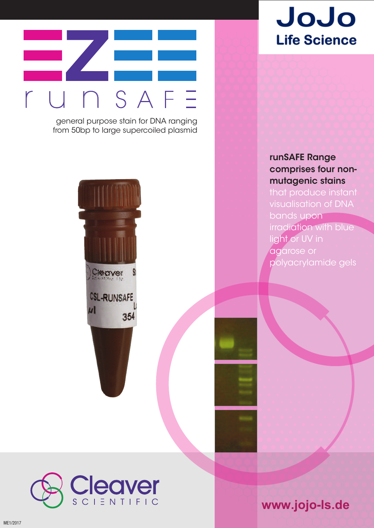

general purpose stain for DNA ranging from 50bp to large supercoiled plasmid





## **runSAFE Range comprises four nonmutagenic stains**

bands upon irradiation with blue light or UV in agarose or polyacrylamide gels



**www.jojo-ls.de**